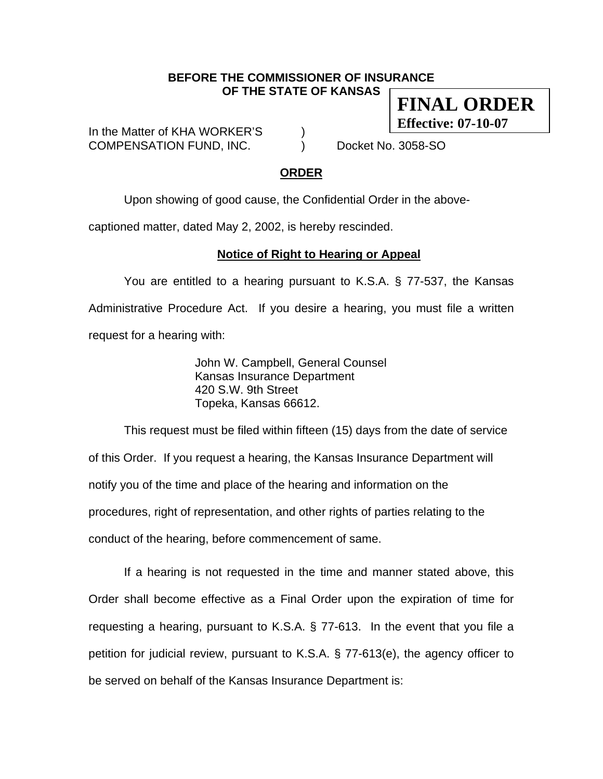#### **BEFORE THE COMMISSIONER OF INSURANCE OF THE STATE OF KANSAS**

In the Matter of KHA WORKER'S  $\qquad \qquad$  ) COMPENSATION FUND, INC. (a) Docket No. 3058-SO

**FINAL ORDER** 

**Effective: 07-10-07**

### **ORDER**

Upon showing of good cause, the Confidential Order in the above-

captioned matter, dated May 2, 2002, is hereby rescinded.

### **Notice of Right to Hearing or Appeal**

You are entitled to a hearing pursuant to K.S.A. § 77-537, the Kansas Administrative Procedure Act. If you desire a hearing, you must file a written request for a hearing with:

> John W. Campbell, General Counsel Kansas Insurance Department 420 S.W. 9th Street Topeka, Kansas 66612.

This request must be filed within fifteen (15) days from the date of service of this Order. If you request a hearing, the Kansas Insurance Department will notify you of the time and place of the hearing and information on the procedures, right of representation, and other rights of parties relating to the conduct of the hearing, before commencement of same.

If a hearing is not requested in the time and manner stated above, this Order shall become effective as a Final Order upon the expiration of time for requesting a hearing, pursuant to K.S.A. § 77-613. In the event that you file a petition for judicial review, pursuant to K.S.A. § 77-613(e), the agency officer to be served on behalf of the Kansas Insurance Department is: